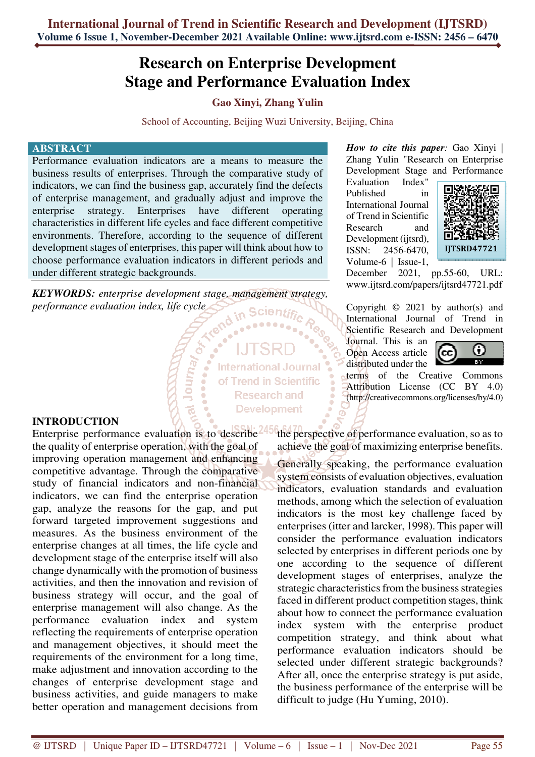# **Research on Enterprise Development Stage and Performance Evaluation Index**

## **Gao Xinyi, Zhang Yulin**

School of Accounting, Beijing Wuzi University, Beijing, China

#### **ABSTRACT**

Performance evaluation indicators are a means to measure the business results of enterprises. Through the comparative study of indicators, we can find the business gap, accurately find the defects of enterprise management, and gradually adjust and improve the enterprise strategy. Enterprises have different operating characteristics in different life cycles and face different competitive environments. Therefore, according to the sequence of different development stages of enterprises, this paper will think about how to choose performance evaluation indicators in different periods and under different strategic backgrounds.

*KEYWORDS: enterprise development stage, management strategy, performance evaluation index, life cycle*  **Scientific** 

Journ<sub>a</sub>

**International Journal** of Trend in Scientific **Research and Development** 

*How to cite this paper:* Gao Xinyi | Zhang Yulin "Research on Enterprise Development Stage and Performance

Evaluation Index" Published in International Journal of Trend in Scientific Research and Development (ijtsrd), ISSN: 2456-6470, Volume-6 | Issue-1,



December 2021, pp.55-60, URL: www.ijtsrd.com/papers/ijtsrd47721.pdf

Copyright  $\odot$  2021 by author(s) and International Journal of Trend in Scientific Research and Development

Journal. This is an Open Access article distributed under the



terms of the Creative Commons Attribution License (CC BY 4.0) (http://creativecommons.org/licenses/by/4.0)

#### **INTRODUCTION**

Enterprise performance evaluation is to describe the quality of enterprise operation, with the goal of improving operation management and enhancing competitive advantage. Through the comparative study of financial indicators and non-financial indicators, we can find the enterprise operation gap, analyze the reasons for the gap, and put forward targeted improvement suggestions and measures. As the business environment of the enterprise changes at all times, the life cycle and development stage of the enterprise itself will also change dynamically with the promotion of business activities, and then the innovation and revision of business strategy will occur, and the goal of enterprise management will also change. As the performance evaluation index and system reflecting the requirements of enterprise operation and management objectives, it should meet the requirements of the environment for a long time, make adjustment and innovation according to the changes of enterprise development stage and business activities, and guide managers to make better operation and management decisions from

the perspective of performance evaluation, so as to achieve the goal of maximizing enterprise benefits.

Generally speaking, the performance evaluation system consists of evaluation objectives, evaluation indicators, evaluation standards and evaluation methods, among which the selection of evaluation indicators is the most key challenge faced by enterprises (itter and larcker, 1998). This paper will consider the performance evaluation indicators selected by enterprises in different periods one by one according to the sequence of different development stages of enterprises, analyze the strategic characteristics from the business strategies faced in different product competition stages, think about how to connect the performance evaluation index system with the enterprise product competition strategy, and think about what performance evaluation indicators should be selected under different strategic backgrounds? After all, once the enterprise strategy is put aside, the business performance of the enterprise will be difficult to judge (Hu Yuming, 2010).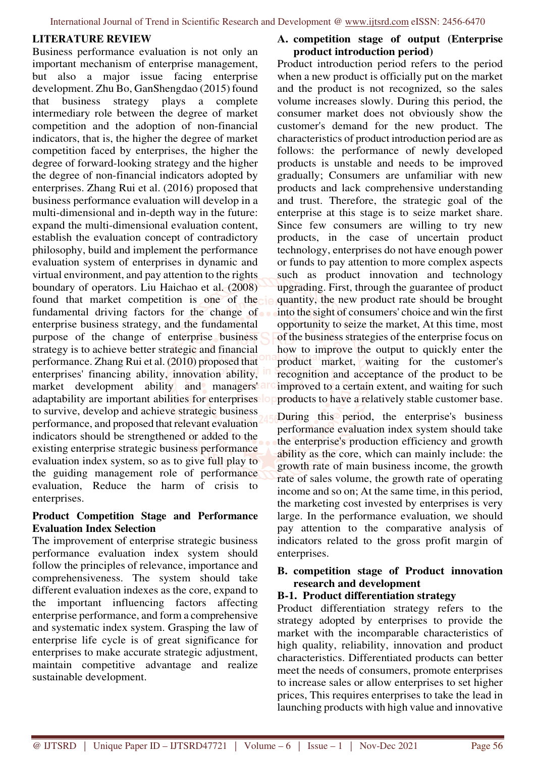#### **LITERATURE REVIEW**

Business performance evaluation is not only an important mechanism of enterprise management, but also a major issue facing enterprise development. Zhu Bo, GanShengdao (2015) found that business strategy plays a complete intermediary role between the degree of market competition and the adoption of non-financial indicators, that is, the higher the degree of market competition faced by enterprises, the higher the degree of forward-looking strategy and the higher the degree of non-financial indicators adopted by enterprises. Zhang Rui et al. (2016) proposed that business performance evaluation will develop in a multi-dimensional and in-depth way in the future: expand the multi-dimensional evaluation content, establish the evaluation concept of contradictory philosophy, build and implement the performance evaluation system of enterprises in dynamic and virtual environment, and pay attention to the rights boundary of operators. Liu Haichao et al. (2008) found that market competition is one of the fundamental driving factors for the change of enterprise business strategy, and the fundamental purpose of the change of enterprise business strategy is to achieve better strategic and financial performance. Zhang Rui et al. (2010) proposed that enterprises' financing ability, innovation ability, market development ability and managers' adaptability are important abilities for enterprises lo to survive, develop and achieve strategic business performance, and proposed that relevant evaluation indicators should be strengthened or added to the existing enterprise strategic business performance evaluation index system, so as to give full play to the guiding management role of performance evaluation, Reduce the harm of crisis to enterprises.

#### **Product Competition Stage and Performance Evaluation Index Selection**

The improvement of enterprise strategic business performance evaluation index system should follow the principles of relevance, importance and comprehensiveness. The system should take different evaluation indexes as the core, expand to the important influencing factors affecting enterprise performance, and form a comprehensive and systematic index system. Grasping the law of enterprise life cycle is of great significance for enterprises to make accurate strategic adjustment, maintain competitive advantage and realize sustainable development.

#### **A. competition stage of output (Enterprise product introduction period)**

Product introduction period refers to the period when a new product is officially put on the market and the product is not recognized, so the sales volume increases slowly. During this period, the consumer market does not obviously show the customer's demand for the new product. The characteristics of product introduction period are as follows: the performance of newly developed products is unstable and needs to be improved gradually; Consumers are unfamiliar with new products and lack comprehensive understanding and trust. Therefore, the strategic goal of the enterprise at this stage is to seize market share. Since few consumers are willing to try new products, in the case of uncertain product technology, enterprises do not have enough power or funds to pay attention to more complex aspects such as product innovation and technology upgrading. First, through the guarantee of product quantity, the new product rate should be brought into the sight of consumers' choice and win the first opportunity to seize the market, At this time, most of the business strategies of the enterprise focus on how to improve the output to quickly enter the product market, waiting for the customer's recognition and acceptance of the product to be improved to a certain extent, and waiting for such products to have a relatively stable customer base.

During this period, the enterprise's business performance evaluation index system should take the enterprise's production efficiency and growth ability as the core, which can mainly include: the growth rate of main business income, the growth rate of sales volume, the growth rate of operating income and so on; At the same time, in this period, the marketing cost invested by enterprises is very large. In the performance evaluation, we should pay attention to the comparative analysis of indicators related to the gross profit margin of enterprises.

#### **B. competition stage of Product innovation research and development**

#### **B-1. Product differentiation strategy**

Product differentiation strategy refers to the strategy adopted by enterprises to provide the market with the incomparable characteristics of high quality, reliability, innovation and product characteristics. Differentiated products can better meet the needs of consumers, promote enterprises to increase sales or allow enterprises to set higher prices, This requires enterprises to take the lead in launching products with high value and innovative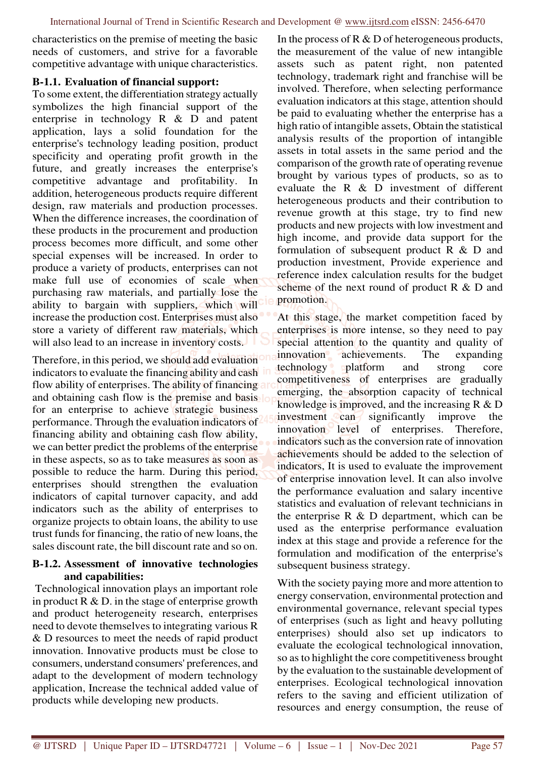characteristics on the premise of meeting the basic needs of customers, and strive for a favorable competitive advantage with unique characteristics.

#### **B-1.1. Evaluation of financial support:**

To some extent, the differentiation strategy actually symbolizes the high financial support of the enterprise in technology R & D and patent application, lays a solid foundation for the enterprise's technology leading position, product specificity and operating profit growth in the future, and greatly increases the enterprise's competitive advantage and profitability. In addition, heterogeneous products require different design, raw materials and production processes. When the difference increases, the coordination of these products in the procurement and production process becomes more difficult, and some other special expenses will be increased. In order to produce a variety of products, enterprises can not make full use of economies of scale when purchasing raw materials, and partially lose the ability to bargain with suppliers, which will increase the production cost. Enterprises must also store a variety of different raw materials, which will also lead to an increase in inventory costs.

Therefore, in this period, we should add evaluation indicators to evaluate the financing ability and cash flow ability of enterprises. The ability of financing and and obtaining cash flow is the premise and basis for an enterprise to achieve strategic business performance. Through the evaluation indicators of financing ability and obtaining cash flow ability, we can better predict the problems of the enterprise in these aspects, so as to take measures as soon as possible to reduce the harm. During this period, enterprises should strengthen the evaluation indicators of capital turnover capacity, and add indicators such as the ability of enterprises to organize projects to obtain loans, the ability to use trust funds for financing, the ratio of new loans, the sales discount rate, the bill discount rate and so on.

#### **B-1.2. Assessment of innovative technologies and capabilities:**

 Technological innovation plays an important role in product  $R \& D$ . in the stage of enterprise growth and product heterogeneity research, enterprises need to devote themselves to integrating various R & D resources to meet the needs of rapid product innovation. Innovative products must be close to consumers, understand consumers' preferences, and adapt to the development of modern technology application, Increase the technical added value of products while developing new products.

In the process of R & D of heterogeneous products, the measurement of the value of new intangible assets such as patent right, non patented technology, trademark right and franchise will be involved. Therefore, when selecting performance evaluation indicators at this stage, attention should be paid to evaluating whether the enterprise has a high ratio of intangible assets, Obtain the statistical analysis results of the proportion of intangible assets in total assets in the same period and the comparison of the growth rate of operating revenue brought by various types of products, so as to evaluate the R & D investment of different heterogeneous products and their contribution to revenue growth at this stage, try to find new products and new projects with low investment and high income, and provide data support for the formulation of subsequent product R & D and production investment, Provide experience and reference index calculation results for the budget scheme of the next round of product R & D and promotion.

At this stage, the market competition faced by enterprises is more intense, so they need to pay special attention to the quantity and quality of innovation achievements. The expanding technology platform and strong core competitiveness of enterprises are gradually emerging, the absorption capacity of technical knowledge is improved, and the increasing R & D investment can significantly improve the innovation level of enterprises. Therefore, indicators such as the conversion rate of innovation achievements should be added to the selection of indicators, It is used to evaluate the improvement of enterprise innovation level. It can also involve the performance evaluation and salary incentive statistics and evaluation of relevant technicians in the enterprise  $R \& D$  department, which can be used as the enterprise performance evaluation index at this stage and provide a reference for the formulation and modification of the enterprise's subsequent business strategy.

With the society paying more and more attention to energy conservation, environmental protection and environmental governance, relevant special types of enterprises (such as light and heavy polluting enterprises) should also set up indicators to evaluate the ecological technological innovation, so as to highlight the core competitiveness brought by the evaluation to the sustainable development of enterprises. Ecological technological innovation refers to the saving and efficient utilization of resources and energy consumption, the reuse of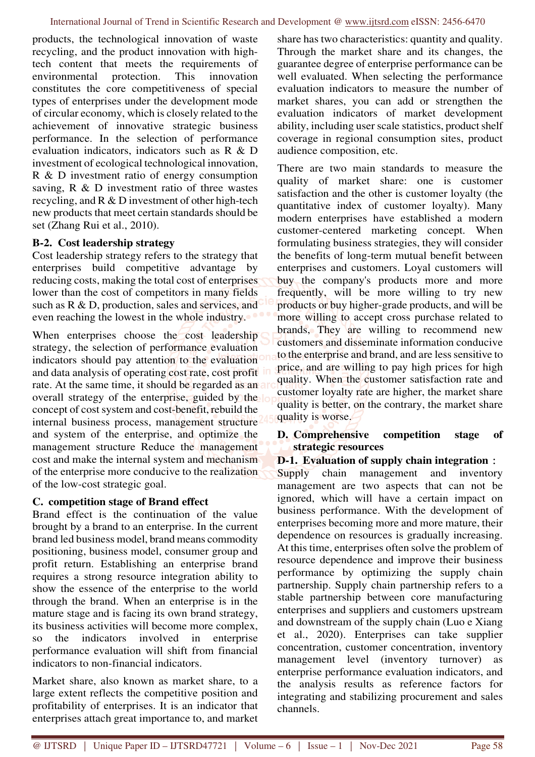products, the technological innovation of waste recycling, and the product innovation with hightech content that meets the requirements of environmental protection. This innovation constitutes the core competitiveness of special types of enterprises under the development mode of circular economy, which is closely related to the achievement of innovative strategic business performance. In the selection of performance evaluation indicators, indicators such as R & D investment of ecological technological innovation, R & D investment ratio of energy consumption saving, R & D investment ratio of three wastes recycling, and R & D investment of other high-tech new products that meet certain standards should be set (Zhang Rui et al., 2010).

## **B-2. Cost leadership strategy**

Cost leadership strategy refers to the strategy that enterprises build competitive advantage by reducing costs, making the total cost of enterprises lower than the cost of competitors in many fields such as R & D, production, sales and services, and even reaching the lowest in the whole industry.

When enterprises choose the cost leadership strategy, the selection of performance evaluation indicators should pay attention to the evaluation and data analysis of operating cost rate, cost profit rate. At the same time, it should be regarded as an a overall strategy of the enterprise, guided by the concept of cost system and cost-benefit, rebuild the internal business process, management structure and system of the enterprise, and optimize the management structure Reduce the management cost and make the internal system and mechanism of the enterprise more conducive to the realization of the low-cost strategic goal.

## **C. competition stage of Brand effect**

Brand effect is the continuation of the value brought by a brand to an enterprise. In the current brand led business model, brand means commodity positioning, business model, consumer group and profit return. Establishing an enterprise brand requires a strong resource integration ability to show the essence of the enterprise to the world through the brand. When an enterprise is in the mature stage and is facing its own brand strategy, its business activities will become more complex, so the indicators involved in enterprise performance evaluation will shift from financial indicators to non-financial indicators.

Market share, also known as market share, to a large extent reflects the competitive position and profitability of enterprises. It is an indicator that enterprises attach great importance to, and market

share has two characteristics: quantity and quality. Through the market share and its changes, the guarantee degree of enterprise performance can be well evaluated. When selecting the performance evaluation indicators to measure the number of market shares, you can add or strengthen the evaluation indicators of market development ability, including user scale statistics, product shelf coverage in regional consumption sites, product audience composition, etc.

There are two main standards to measure the quality of market share: one is customer satisfaction and the other is customer loyalty (the quantitative index of customer loyalty). Many modern enterprises have established a modern customer-centered marketing concept. When formulating business strategies, they will consider the benefits of long-term mutual benefit between enterprises and customers. Loyal customers will buy the company's products more and more frequently, will be more willing to try new products or buy higher-grade products, and will be more willing to accept cross purchase related to brands, They are willing to recommend new customers and disseminate information conducive to the enterprise and brand, and are less sensitive to price, and are willing to pay high prices for high quality. When the customer satisfaction rate and customer loyalty rate are higher, the market share quality is better, on the contrary, the market share quality is worse.

## **D. Comprehensive competition stage of strategic resources**

## **D-1. Evaluation of supply chain integration**:

Supply chain management and inventory management are two aspects that can not be ignored, which will have a certain impact on business performance. With the development of enterprises becoming more and more mature, their dependence on resources is gradually increasing. At this time, enterprises often solve the problem of resource dependence and improve their business performance by optimizing the supply chain partnership. Supply chain partnership refers to a stable partnership between core manufacturing enterprises and suppliers and customers upstream and downstream of the supply chain (Luo e Xiang et al., 2020). Enterprises can take supplier concentration, customer concentration, inventory management level (inventory turnover) as enterprise performance evaluation indicators, and the analysis results as reference factors for integrating and stabilizing procurement and sales channels.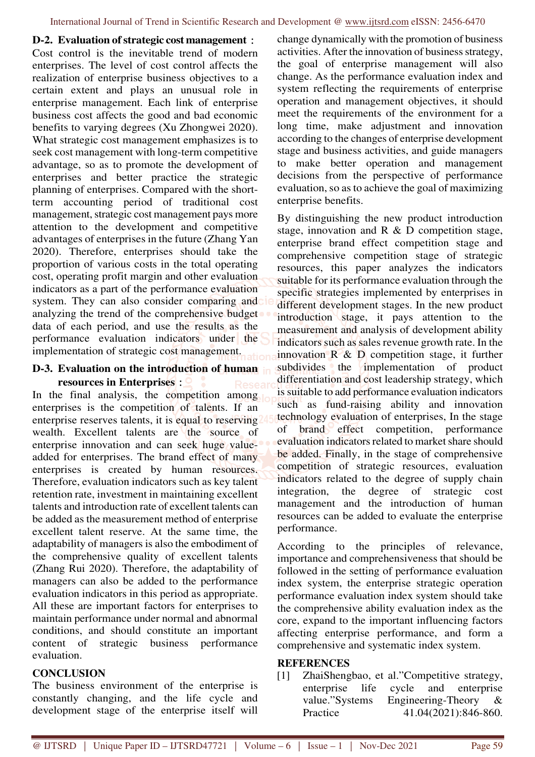#### **D-2. Evaluation of strategic cost management**:

Cost control is the inevitable trend of modern enterprises. The level of cost control affects the realization of enterprise business objectives to a certain extent and plays an unusual role in enterprise management. Each link of enterprise business cost affects the good and bad economic benefits to varying degrees (Xu Zhongwei 2020). What strategic cost management emphasizes is to seek cost management with long-term competitive advantage, so as to promote the development of enterprises and better practice the strategic planning of enterprises. Compared with the shortterm accounting period of traditional cost management, strategic cost management pays more attention to the development and competitive advantages of enterprises in the future (Zhang Yan 2020). Therefore, enterprises should take the proportion of various costs in the total operating cost, operating profit margin and other evaluation indicators as a part of the performance evaluation system. They can also consider comparing and analyzing the trend of the comprehensive budget data of each period, and use the results as the performance evaluation indicators under the implementation of strategic cost management.

### **D-3. Evaluation on the introduction of human resources in Enterprises**:

In the final analysis, the competition among enterprises is the competition of talents. If an enterprise reserves talents, it is equal to reserving wealth. Excellent talents are the source of enterprise innovation and can seek huge valueadded for enterprises. The brand effect of many enterprises is created by human resources. Therefore, evaluation indicators such as key talent retention rate, investment in maintaining excellent talents and introduction rate of excellent talents can be added as the measurement method of enterprise excellent talent reserve. At the same time, the adaptability of managers is also the embodiment of the comprehensive quality of excellent talents (Zhang Rui 2020). Therefore, the adaptability of managers can also be added to the performance evaluation indicators in this period as appropriate. All these are important factors for enterprises to maintain performance under normal and abnormal conditions, and should constitute an important content of strategic business performance evaluation.

## **CONCLUSION**

The business environment of the enterprise is constantly changing, and the life cycle and development stage of the enterprise itself will

change dynamically with the promotion of business activities. After the innovation of business strategy, the goal of enterprise management will also change. As the performance evaluation index and system reflecting the requirements of enterprise operation and management objectives, it should meet the requirements of the environment for a long time, make adjustment and innovation according to the changes of enterprise development stage and business activities, and guide managers to make better operation and management decisions from the perspective of performance evaluation, so as to achieve the goal of maximizing enterprise benefits.

By distinguishing the new product introduction stage, innovation and  $R \& D$  competition stage, enterprise brand effect competition stage and comprehensive competition stage of strategic resources, this paper analyzes the indicators suitable for its performance evaluation through the specific strategies implemented by enterprises in different development stages. In the new product introduction stage, it pays attention to the measurement and analysis of development ability indicators such as sales revenue growth rate. In the innovation  $\mathbb{R} \& \mathbb{D}$  competition stage, it further subdivides the implementation of product differentiation and cost leadership strategy, which is suitable to add performance evaluation indicators such as fund-raising ability and innovation technology evaluation of enterprises, In the stage of brand effect competition, performance evaluation indicators related to market share should be added. Finally, in the stage of comprehensive competition of strategic resources, evaluation indicators related to the degree of supply chain integration, the degree of strategic cost management and the introduction of human resources can be added to evaluate the enterprise performance.

According to the principles of relevance, importance and comprehensiveness that should be followed in the setting of performance evaluation index system, the enterprise strategic operation performance evaluation index system should take the comprehensive ability evaluation index as the core, expand to the important influencing factors affecting enterprise performance, and form a comprehensive and systematic index system.

#### **REFERENCES**

[1] ZhaiShengbao, et al."Competitive strategy, enterprise life cycle and enterprise value."Systems Engineering-Theory & Practice 41.04(2021):846-860.